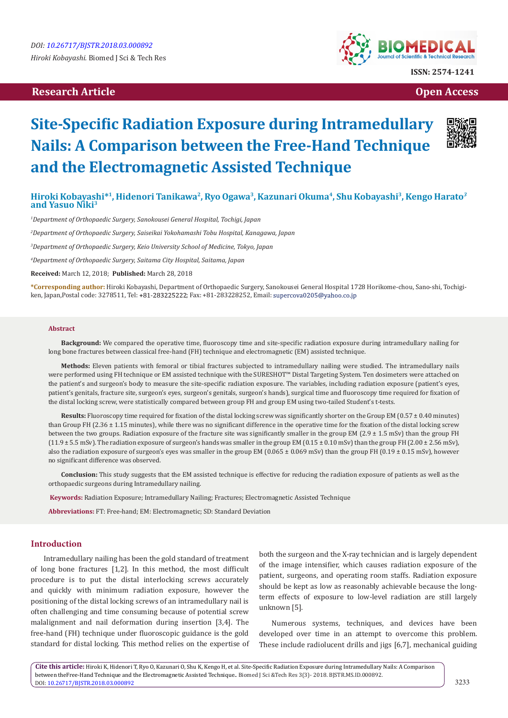# **Research Article Open Access Contract Article Open Access Open Access**



# **Site-Specific Radiation Exposure during Intramedullary Nails: A Comparison between the Free-Hand Technique and the Electromagnetic Assisted Technique**



## **Hiroki Kobayashi\*<sup>1</sup>, Hidenori Tanikawa<sup>2</sup>, Ryo Ogawa<sup>3</sup>, Kazunari Okuma<sup>4</sup>, Shu Kobayashi<sup>3</sup>, Kengo Harato***<sup>3</sup>* **and Yasuo Niki<sup>3</sup>**

*1 Department of Orthopaedic Surgery, Sanokousei General Hospital, Tochigi, Japan*

*2 Department of Orthopaedic Surgery, Saiseikai Yokohamashi Tobu Hospital, Kanagawa, Japan*

*3 Department of Orthopaedic Surgery, Keio University School of Medicine, Tokyo, Japan*

*4 Department of Orthopaedic Surgery, Saitama City Hospital, Saitama, Japan*

**Received:** March 12, 2018; **Published:** March 28, 2018

**\*Corresponding author:** Hiroki Kobayashi, Department of Orthopaedic Surgery, Sanokousei General Hospital 1728 Horikome-chou, Sano-shi, Tochigiken, Japan,Postal code: 3278511, Tel: +81-283225222; Fax: +81-283228252, Email: supercova0205@yahoo.co.jp

#### **Abstract**

**Background:** We compared the operative time, fluoroscopy time and site-specific radiation exposure during intramedullary nailing for long bone fractures between classical free-hand (FH) technique and electromagnetic (EM) assisted technique.

**Methods:** Eleven patients with femoral or tibial fractures subjected to intramedullary nailing were studied. The intramedullary nails were performed using FH technique or EM assisted technique with the SURESHOT™ Distal Targeting System. Ten dosimeters were attached on the patient's and surgeon's body to measure the site-specific radiation exposure. The variables, including radiation exposure (patient's eyes, patient's genitals, fracture site, surgeon's eyes, surgeon's genitals, surgeon's hands), surgical time and fluoroscopy time required for fixation of the distal locking screw, were statistically compared between group FH and group EM using two-tailed Student's t-tests.

Results: Fluoroscopy time required for fixation of the distal locking screw was significantly shorter on the Group EM (0.57  $\pm$  0.40 minutes) than Group FH (2.36 ± 1.15 minutes), while there was no significant difference in the operative time for the fixation of the distal locking screw between the two groups. Radiation exposure of the fracture site was significantly smaller in the group EM (2.9 ± 1.5 mSv) than the group FH  $(11.9 \pm 5.5 \text{ mSv})$ . The radiation exposure of surgeon's hands was smaller in the group EM  $(0.15 \pm 0.10 \text{ mSv})$  than the group FH  $(2.00 \pm 2.56 \text{ mSv})$ , also the radiation exposure of surgeon's eyes was smaller in the group EM (0.065  $\pm$  0.069 mSv) than the group FH (0.19  $\pm$  0.15 mSv), however no significant difference was observed.

**Conclusion:** This study suggests that the EM assisted technique is effective for reducing the radiation exposure of patients as well as the orthopaedic surgeons during Intramedullary nailing.

 **Keywords:** Radiation Exposure; Intramedullary Nailing; Fractures; Electromagnetic Assisted Technique

**Abbreviations:** FT: Free-hand; EM: Electromagnetic; SD: Standard Deviation

### **Introduction**

Intramedullary nailing has been the gold standard of treatment of long bone fractures [1,2]. In this method, the most difficult procedure is to put the distal interlocking screws accurately and quickly with minimum radiation exposure, however the positioning of the distal locking screws of an intramedullary nail is often challenging and time consuming because of potential screw malalignment and nail deformation during insertion [3,4]. The free-hand (FH) technique under fluoroscopic guidance is the gold standard for distal locking. This method relies on the expertise of both the surgeon and the X-ray technician and is largely dependent of the image intensifier, which causes radiation exposure of the patient, surgeons, and operating room staffs. Radiation exposure should be kept as low as reasonably achievable because the longterm effects of exposure to low-level radiation are still largely unknown [5].

Numerous systems, techniques, and devices have been developed over time in an attempt to overcome this problem. These include radiolucent drills and jigs [6,7], mechanical guiding

**Cite this article:** Hiroki K, Hidenori T, Ryo O, Kazunari O, Shu K, Kengo H, et al. Site-Specific Radiation Exposure during Intramedullary Nails: A Comparison between theFree-Hand Technique and the Electromagnetic Assisted Technique.. Biomed J Sci &Tech Res 3(3)- 2018. BJSTR.MS.ID.000892. DOI: [10.26717/BJSTR.2018.03.000892](http://dx.doi.org/10.26717/BJSTR.2018.03.000892)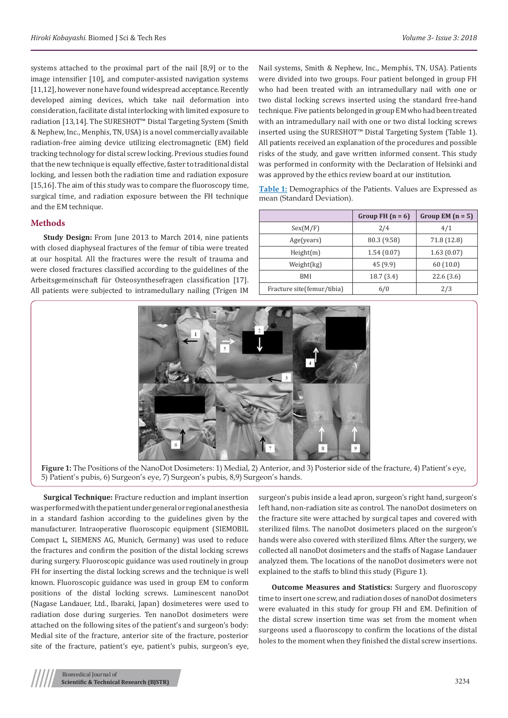systems attached to the proximal part of the nail [8,9] or to the image intensifier [10], and computer-assisted navigation systems [11,12], however none have found widespread acceptance. Recently developed aiming devices, which take nail deformation into consideration, facilitate distal interlocking with limited exposure to radiation [13,14]. The SURESHOT™ Distal Targeting System (Smith & Nephew, Inc., Menphis, TN, USA) is a novel commercially available radiation-free aiming device utilizing electromagnetic (EM) field tracking technology for distal screw locking. Previous studies found that the new technique is equally effective, faster to traditional distal locking, and lessen both the radiation time and radiation exposure [15,16]. The aim of this study was to compare the fluoroscopy time, surgical time, and radiation exposure between the FH technique and the EM technique.

#### **Methods**

**Study Design:** From June 2013 to March 2014, nine patients with closed diaphyseal fractures of the femur of tibia were treated at our hospital. All the fractures were the result of trauma and were closed fractures classified according to the guidelines of the Arbeitsgemeinschaft für Osteosynthesefragen classification [17]. All patients were subjected to intramedullary nailing (Trigen IM

Nail systems, Smith & Nephew, Inc., Memphis, TN, USA). Patients were divided into two groups. Four patient belonged in group FH who had been treated with an intramedullary nail with one or two distal locking screws inserted using the standard free-hand technique. Five patients belonged in group EM who had been treated with an intramedullary nail with one or two distal locking screws inserted using the SURESHOT™ Distal Targeting System (Table 1). All patients received an explanation of the procedures and possible risks of the study, and gave written informed consent. This study was performed in conformity with the Declaration of Helsinki and was approved by the ethics review board at our institution.

**Table 1:** Demographics of the Patients. Values are Expressed as mean (Standard Deviation).

|                             | Group FH $(n = 6)$     | Group EM $(n = 5)$ |  |
|-----------------------------|------------------------|--------------------|--|
| Sex(M/F)                    | 2/4                    | 4/1                |  |
| Age(years)                  | 80.3 (9.58)            | 71.8 (12.8)        |  |
| Height(m)                   | 1.54(0.07)             | 1.63(0.07)         |  |
| Weight(kg)                  | 45 (9.9)               | 60(10.0)           |  |
| BMI                         | 18.7(3.4)<br>22.6(3.6) |                    |  |
| Fracture site (femur/tibia) | 6/0                    | 2/3                |  |



**Figure 1:** The Positions of the NanoDot Dosimeters: 1) Medial, 2) Anterior, and 3) Posterior side of the fracture, 4) Patient's eye, 5) Patient's pubis, 6) Surgeon's eye, 7) Surgeon's pubis, 8,9) Surgeon's hands.

**Surgical Technique:** Fracture reduction and implant insertion was performed with the patient under general or regional anesthesia in a standard fashion according to the guidelines given by the manufacturer. Intraoperative fluoroscopic equipment (SIEMOBIL Compact L, SIEMENS AG, Munich, Germany) was used to reduce the fractures and confirm the position of the distal locking screws during surgery. Fluoroscopic guidance was used routinely in group FH for inserting the distal locking screws and the technique is well known. Fluoroscopic guidance was used in group EM to conform positions of the distal locking screws. Luminescent nanoDot (Nagase Landauer, Ltd., Ibaraki, Japan) dosimeteres were used to radiation dose during surgeries. Ten nanoDot dosimeters were attached on the following sites of the patient's and surgeon's body: Medial site of the fracture, anterior site of the fracture, posterior site of the fracture, patient's eye, patient's pubis, surgeon's eye,

surgeon's pubis inside a lead apron, surgeon's right hand, surgeon's left hand, non-radiation site as control. The nanoDot dosimeters on the fracture site were attached by surgical tapes and covered with sterilized films. The nanoDot dosimeters placed on the surgeon's hands were also covered with sterilized films. After the surgery, we collected all nanoDot dosimeters and the staffs of Nagase Landauer analyzed them. The locations of the nanoDot dosimeters were not explained to the staffs to blind this study (Figure 1).

**Outcome Measures and Statistics:** Surgery and fluoroscopy time to insert one screw, and radiation doses of nanoDot dosimeters were evaluated in this study for group FH and EM. Definition of the distal screw insertion time was set from the moment when surgeons used a fluoroscopy to confirm the locations of the distal holes to the moment when they finished the distal screw insertions.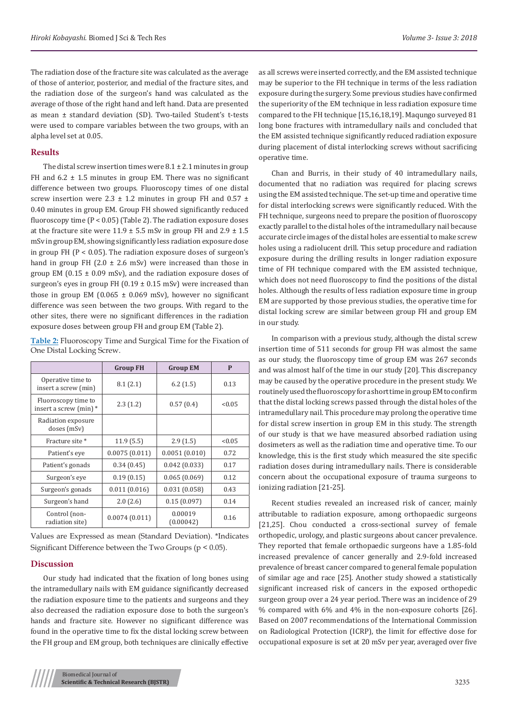The radiation dose of the fracture site was calculated as the average of those of anterior, posterior, and medial of the fracture sites, and the radiation dose of the surgeon's hand was calculated as the average of those of the right hand and left hand. Data are presented as mean ± standard deviation (SD). Two-tailed Student's t-tests were used to compare variables between the two groups, with an alpha level set at 0.05.

#### **Results**

The distal screw insertion times were  $8.1 \pm 2.1$  minutes in group FH and  $6.2 \pm 1.5$  minutes in group EM. There was no significant difference between two groups. Fluoroscopy times of one distal screw insertion were  $2.3 \pm 1.2$  minutes in group FH and  $0.57 \pm 1.2$ 0.40 minutes in group EM. Group FH showed significantly reduced fluoroscopy time  $(P < 0.05)$  (Table 2). The radiation exposure doses at the fracture site were  $11.9 \pm 5.5$  mSv in group FH and  $2.9 \pm 1.5$ mSv in group EM, showing significantly less radiation exposure dose in group FH  $(P < 0.05)$ . The radiation exposure doses of surgeon's hand in group FH (2.0  $\pm$  2.6 mSv) were increased than those in group EM ( $0.15 \pm 0.09$  mSv), and the radiation exposure doses of surgeon's eyes in group FH  $(0.19 \pm 0.15 \text{ mSv})$  were increased than those in group EM  $(0.065 \pm 0.069 \text{ mSv})$ , however no significant difference was seen between the two groups. With regard to the other sites, there were no significant differences in the radiation exposure doses between group FH and group EM (Table 2).

**Table 2:** Fluoroscopy Time and Surgical Time for the Fixation of One Distal Locking Screw.

|                                               | <b>Group FH</b> | <b>Group EM</b>      | P      |
|-----------------------------------------------|-----------------|----------------------|--------|
| Operative time to<br>insert a screw (min)     | 8.1(2.1)        | 6.2(1.5)             | 0.13   |
| Fluoroscopy time to<br>insert a screw (min) * | 2.3(1.2)        | 0.57(0.4)            | < 0.05 |
| Radiation exposure<br>doses (mSv)             |                 |                      |        |
| Fracture site *                               | 11.9(5.5)       | 2.9(1.5)             | < 0.05 |
| Patient's eye                                 | 0.0075(0.011)   | 0.0051(0.010)        | 0.72   |
| Patient's gonads                              | 0.34(0.45)      | 0.042(0.033)         | 0.17   |
| Surgeon's eye                                 | 0.19(0.15)      | 0.065(0.069)         | 0.12   |
| Surgeon's gonads                              | 0.011(0.016)    | 0.031(0.058)         | 0.43   |
| Surgeon's hand                                | 2.0(2.6)        | 0.15(0.097)          | 0.14   |
| Control (non-<br>radiation site)              | 0.0074(0.011)   | 0.00019<br>(0.00042) | 0.16   |

Values are Expressed as mean (Standard Deviation). \*Indicates Significant Difference between the Two Groups (p < 0.05).

### **Discussion**

Our study had indicated that the fixation of long bones using the intramedullary nails with EM guidance significantly decreased the radiation exposure time to the patients and surgeons and they also decreased the radiation exposure dose to both the surgeon's hands and fracture site. However no significant difference was found in the operative time to fix the distal locking screw between the FH group and EM group, both techniques are clinically effective

as all screws were inserted correctly, and the EM assisted technique may be superior to the FH technique in terms of the less radiation exposure during the surgery. Some previous studies have confirmed the superiority of the EM technique in less radiation exposure time compared to the FH technique [15,16,18,19]. Maqungo surveyed 81 long bone fractures with intramedullary nails and concluded that the EM assisted technique significantly reduced radiation exposure during placement of distal interlocking screws without sacrificing operative time.

Chan and Burris, in their study of 40 intramedullary nails, documented that no radiation was required for placing screws using the EM assisted technique. The set-up time and operative time for distal interlocking screws were significantly reduced. With the FH technique, surgeons need to prepare the position of fluoroscopy exactly parallel to the distal holes of the intramedullary nail because accurate circle images of the distal holes are essential to make screw holes using a radiolucent drill. This setup procedure and radiation exposure during the drilling results in longer radiation exposure time of FH technique compared with the EM assisted technique, which does not need fluoroscopy to find the positions of the distal holes. Although the results of less radiation exposure time in group EM are supported by those previous studies, the operative time for distal locking screw are similar between group FH and group EM in our study.

In comparison with a previous study, although the distal screw insertion time of 511 seconds for group FH was almost the same as our study, the fluoroscopy time of group EM was 267 seconds and was almost half of the time in our study [20]. This discrepancy may be caused by the operative procedure in the present study. We routinely used the fluoroscopy for a short time in group EM to confirm that the distal locking screws passed through the distal holes of the intramedullary nail. This procedure may prolong the operative time for distal screw insertion in group EM in this study. The strength of our study is that we have measured absorbed radiation using dosimeters as well as the radiation time and operative time. To our knowledge, this is the first study which measured the site specific radiation doses during intramedullary nails. There is considerable concern about the occupational exposure of trauma surgeons to ionizing radiation [21-25].

Recent studies revealed an increased risk of cancer, mainly attributable to radiation exposure, among orthopaedic surgeons [21,25]. Chou conducted a cross-sectional survey of female orthopedic, urology, and plastic surgeons about cancer prevalence. They reported that female orthopaedic surgeons have a 1.85-fold increased prevalence of cancer generally and 2.9-fold increased prevalence of breast cancer compared to general female population of similar age and race [25]. Another study showed a statistically significant increased risk of cancers in the exposed orthopedic surgeon group over a 24 year period. There was an incidence of 29 % compared with 6% and 4% in the non-exposure cohorts [26]. Based on 2007 recommendations of the International Commission on Radiological Protection (ICRP), the limit for effective dose for occupational exposure is set at 20 mSv per year, averaged over five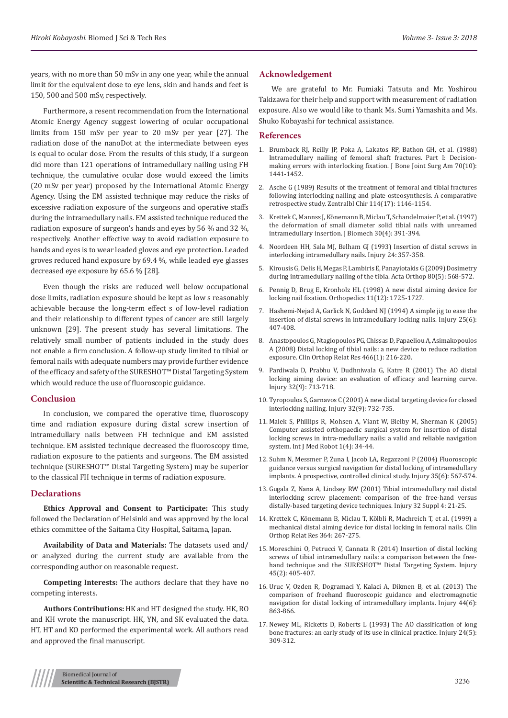years, with no more than 50 mSv in any one year, while the annual limit for the equivalent dose to eye lens, skin and hands and feet is 150, 500 and 500 mSv, respectively.

Furthermore, a resent recommendation from the International Atomic Energy Agency suggest lowering of ocular occupational limits from 150 mSv per year to 20 mSv per year [27]. The radiation dose of the nanoDot at the intermediate between eyes is equal to ocular dose. From the results of this study, if a surgeon did more than 121 operations of intramedullary nailing using FH technique, the cumulative ocular dose would exceed the limits (20 mSv per year) proposed by the International Atomic Energy Agency. Using the EM assisted technique may reduce the risks of excessive radiation exposure of the surgeons and operative staffs during the intramedullary nails. EM assisted technique reduced the radiation exposure of surgeon's hands and eyes by 56 % and 32 %, respectively. Another effective way to avoid radiation exposure to hands and eyes is to wear leaded gloves and eye protection. Leaded groves reduced hand exposure by 69.4 %, while leaded eye glasses decreased eye exposure by 65.6 % [28].

Even though the risks are reduced well below occupational dose limits, radiation exposure should be kept as low s reasonably achievable because the long-term effect s of low-level radiation and their relationship to different types of cancer are still largely unknown [29]. The present study has several limitations. The relatively small number of patients included in the study does not enable a firm conclusion. A follow-up study limited to tibial or femoral nails with adequate numbers may provide further evidence of the efficacy and safety of the SURESHOT™ Distal Targeting System which would reduce the use of fluoroscopic guidance.

#### **Conclusion**

In conclusion, we compared the operative time, fluoroscopy time and radiation exposure during distal screw insertion of intramedullary nails between FH technique and EM assisted technique. EM assisted technique decreased the fluoroscopy time, radiation exposure to the patients and surgeons. The EM assisted technique (SURESHOT™ Distal Targeting System) may be superior to the classical FH technique in terms of radiation exposure.

#### **Declarations**

**Ethics Approval and Consent to Participate:** This study followed the Declaration of Helsinki and was approved by the local ethics committee of the Saitama City Hospital, Saitama, Japan.

**Availability of Data and Materials:** The datasets used and/ or analyzed during the current study are available from the corresponding author on reasonable request.

**Competing Interests:** The authors declare that they have no competing interests.

**Authors Contributions:** HK and HT designed the study. HK, RO and KH wrote the manuscript. HK, YN, and SK evaluated the data. HT, HT and KO performed the experimental work. All authors read and approved the final manuscript.

#### **Acknowledgement**

We are grateful to Mr. Fumiaki Tatsuta and Mr. Yoshirou Takizawa for their help and support with measurement of radiation exposure. Also we would like to thank Ms. Sumi Yamashita and Ms. Shuko Kobayashi for technical assistance.

#### **References**

- 1. [Brumback RJ, Reilly JP, Poka A, Lakatos RP, Bathon GH, et al. \(1988\)](https://www.ncbi.nlm.nih.gov/pubmed/3198668) [Intramedullary nailing of femoral shaft fractures. Part I: Decision](https://www.ncbi.nlm.nih.gov/pubmed/3198668)[making errors with interlocking fixation. J Bone Joint Surg Am 70\(10\):](https://www.ncbi.nlm.nih.gov/pubmed/3198668) [1441-1452.](https://www.ncbi.nlm.nih.gov/pubmed/3198668)
- 2. [Asche G \(1989\) Results of the treatment of femoral and tibial fractures](https://www.ncbi.nlm.nih.gov/pubmed?db=PubMed&cmd=Retrieve&list_uids=2588839) [following interlocking nailing and plate osteosynthesis. A comparative](https://www.ncbi.nlm.nih.gov/pubmed?db=PubMed&cmd=Retrieve&list_uids=2588839) [retrospective study. Zentralbl Chir 114\(17\): 1146-1154.](https://www.ncbi.nlm.nih.gov/pubmed?db=PubMed&cmd=Retrieve&list_uids=2588839)
- 3. [Krettek C, Mannss J, Könemann B, Miclau T, Schandelmaier P, et al. \(1997\)](https://www.ncbi.nlm.nih.gov/pubmed/9075008) [the deformation of small diameter solid tibial nails with unreamed](https://www.ncbi.nlm.nih.gov/pubmed/9075008) [intramedullary insertion. J Biomech 30\(4\): 391-394.](https://www.ncbi.nlm.nih.gov/pubmed/9075008)
- 4. [Noordeen HH, Sala MJ, Belham GJ \(1993\) Insertion of distal screws in](http://www.injuryjournal.com/article/0020-1383(93)90068-H/abstract) [interlocking intramedullary nails. Injury 24: 357-358.](http://www.injuryjournal.com/article/0020-1383(93)90068-H/abstract)
- 5. [Kirousis G, Delis H, Megas P, Lambiris E, Panayiotakis G \(2009\) Dosimetry](https://www.ncbi.nlm.nih.gov/pmc/articles/PMC2823322/) [during intramedullary nailing of the tibia. Acta Orthop 80\(5\): 568-572.](https://www.ncbi.nlm.nih.gov/pmc/articles/PMC2823322/)
- 6. [Pennig D, Brug E, Kronholz HL \(1998\) A new distal aiming device for](https://www.ncbi.nlm.nih.gov/pubmed/3231579?dopt=Abstract) [locking nail fixation. Orthopedics 11\(12\): 1725-1727.](https://www.ncbi.nlm.nih.gov/pubmed/3231579?dopt=Abstract)
- 7. [Hashemi-Nejad A, Garlick N, Goddard NJ \(1994\) A simple jig to ease the](https://www.ncbi.nlm.nih.gov/pubmed/8045651) [insertion of distal screws in intramedullary locking nails. Injury 25\(6\):](https://www.ncbi.nlm.nih.gov/pubmed/8045651) [407-408.](https://www.ncbi.nlm.nih.gov/pubmed/8045651)
- 8. [Anastopoulos G, Ntagiopoulos PG, Chissas D, Papaeliou A, Asimakopoulos](https://www.ncbi.nlm.nih.gov/pmc/articles/PMC2505307/) [A \(2008\) Distal locking of tibial nails: a new device to reduce radiation](https://www.ncbi.nlm.nih.gov/pmc/articles/PMC2505307/) [exposure. Clin Orthop Relat Res 466\(1\): 216-220.](https://www.ncbi.nlm.nih.gov/pmc/articles/PMC2505307/)
- 9. [Pardiwala D, Prabhu V, Dudhniwala G, Katre R \(2001\) The AO distal](https://www.ncbi.nlm.nih.gov/pubmed/11600119) [locking aiming device: an evaluation of efficacy and learning curve.](https://www.ncbi.nlm.nih.gov/pubmed/11600119) [Injury 32\(9\): 713-718.](https://www.ncbi.nlm.nih.gov/pubmed/11600119)
- 10. [Tyropoulos S, Garnavos C \(2001\) A new distal targeting device for closed](https://www.ncbi.nlm.nih.gov/pubmed/11600124) [interlocking nailing. Injury 32\(9\): 732-735.](https://www.ncbi.nlm.nih.gov/pubmed/11600124)
- 11. [Malek S, Phillips R, Mohsen A, Viant W, Bielby M, Sherman K \(2005\)](https://www.ncbi.nlm.nih.gov/pubmed/17518403) [Computer assisted orthopaedic surgical system for insertion of distal](https://www.ncbi.nlm.nih.gov/pubmed/17518403) [locking screws in intra-medullary nails: a valid and reliable navigation](https://www.ncbi.nlm.nih.gov/pubmed/17518403) [system. Int J Med Robot 1\(4\): 34-44.](https://www.ncbi.nlm.nih.gov/pubmed/17518403)
- 12. [Suhm N, Messmer P, Zuna I, Jacob LA, Regazzoni P \(2004\) Fluoroscopic](https://www.ncbi.nlm.nih.gov/pubmed/15135275) [guidance versus surgical navigation for distal locking of intramedullary](https://www.ncbi.nlm.nih.gov/pubmed/15135275) [implants. A prospective, controlled clinical study. Injury 35\(6\): 567-574.](https://www.ncbi.nlm.nih.gov/pubmed/15135275)
- 13. [Gugala Z, Nana A, Lindsey RW \(2001\) Tibial intramedullary nail distal](https://www.ncbi.nlm.nih.gov/pubmed/11812474) [interlocking screw placement: comparison of the free-hand versus](https://www.ncbi.nlm.nih.gov/pubmed/11812474) [distally-based targeting device techniques. Injury 32 Suppl 4: 21-25.](https://www.ncbi.nlm.nih.gov/pubmed/11812474)
- 14. [Krettek C, Könemann B, Miclau T, Kölbli R, Machreich T, et al. \(1999\) a](https://www.ncbi.nlm.nih.gov/pubmed/10416417) [mechanical distal aiming device for distal locking in femoral nails. Clin](https://www.ncbi.nlm.nih.gov/pubmed/10416417) [Orthop Relat Res 364: 267-275.](https://www.ncbi.nlm.nih.gov/pubmed/10416417)
- 15. [Moreschini O, Petrucci V, Cannata R \(2014\) Insertion of distal locking](http://www.injuryjournal.com/article/S0020-1383(13)00432-4/abstract) [screws of tibial intramedullary nails: a comparison between the free](http://www.injuryjournal.com/article/S0020-1383(13)00432-4/abstract)[hand technique and the SURESHOT™ Distal Targeting System. Injury](http://www.injuryjournal.com/article/S0020-1383(13)00432-4/abstract) [45\(2\): 405-407.](http://www.injuryjournal.com/article/S0020-1383(13)00432-4/abstract)
- 16. [Uruc V, Ozden R, Dogramaci Y, Kalaci A, Dikmen B, et al. \(2013\) The](https://www.ncbi.nlm.nih.gov/pubmed/23298756) [comparison of freehand fluoroscopic guidance and electromagnetic](https://www.ncbi.nlm.nih.gov/pubmed/23298756) [navigation for distal locking of intramedullary implants. Injury 44\(6\):](https://www.ncbi.nlm.nih.gov/pubmed/23298756) [863-866.](https://www.ncbi.nlm.nih.gov/pubmed/23298756)
- 17. [Newey ML, Ricketts D, Roberts L \(1993\) The AO classification of long](http://www.injuryjournal.com/article/0020-1383(93)90052-8/abstract) [bone fractures: an early study of its use in clinical practice. Injury 24\(5\):](http://www.injuryjournal.com/article/0020-1383(93)90052-8/abstract) [309-312.](http://www.injuryjournal.com/article/0020-1383(93)90052-8/abstract)